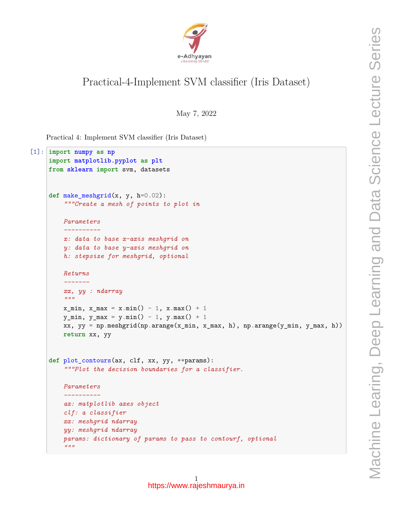

## Practical-4-Implement SVM classifier (Iris Dataset)

May 7, 2022

Practical 4: Implement SVM classifier (Iris Dataset)

```
[1]: import numpy as np
     import matplotlib.pyplot as plt
     from sklearn import svm, datasets
     def make_meshgrid(x, y, h=0.02):
         """Create a mesh of points to plot in
         Parameters
         ----------
         x: data to base x-axis meshgrid on
         y: data to base y-axis meshgrid on
         h: stepsize for meshgrid, optional
         Returns
         -------
         xx, yy : ndarray
         """
         x_{min}, x_{max} = x_{min}() - 1, x_{max}() + 1y_{min}, y_{max} = y_{min}() - 1, y_{max}() + 1xx, yy = np.meshgrid(np.arange(x_min, x_max, h), np.arange(y_min, y_max, h))
         return xx, yy
     def plot_contours(ax, clf, xx, yy, **params):
         """Plot the decision boundaries for a classifier.
         Parameters
         ----------
         ax: matplotlib axes object
         clf: a classifier
         xx: meshgrid ndarray
         yy: meshgrid ndarray
         params: dictionary of params to pass to contourf, optional
         \overline{u} \overline{u}
```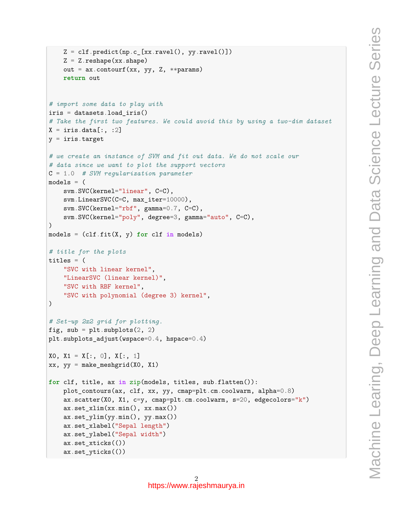```
Z = c1f.predict(np.c_{xx.ravel(), yy.ravel())Z = Z.\nreshape(xx.\nshape)out = ax.contourf(xx, yy, Z, **params)return out
# import some data to play with
iris = datasets.load_iris()
# Take the first two features. We could avoid this by using a two-dim dataset
X = \text{iris.data}[:, :2]y = \text{iris.target}# we create an instance of SVM and fit out data. We do not scale our
# data since we want to plot the support vectors
C = 1.0 # SVM regularization parameter
models = (svm.SVC(kernel="linear", C=C),
    svm.LinearSVC(C=C, max_iter=10000),
    svm.SVC(kernel="rbf", gamma=0.7, C=C),
    svm.SVC(kernel="poly", degree=3, gamma="auto", C=C),
\lambdamodels = (clf.fit(X, y) for clf in models)
# title for the plots
titles = (
    "SVC with linear kernel",
    "LinearSVC (linear kernel)",
    "SVC with RBF kernel",
    "SVC with polynomial (degree 3) kernel",
)
# Set-up 2x2 grid for plotting.
fig, sub = plt.subplots(2, 2)plt.subplots_adjust(wspace=0.4, hspace=0.4)
X0, X1 = X[:, 0], X[:, 1]xx, yy = make_meshgrid(X0, X1)
for clf, title, ax in zip(models, titles, sub.flatten()):
    plot_contours(ax, clf, xx, yy, cmap=plt.cm.coolwarm, alpha=0.8)
    ax.scatter(X0, X1, c=y, cmap=plt.cm.coolwarm, s=20, edgecolors="k")
    ax.set_xlim(xx.min(), xx.max())
    ax.set_ylim(yy.min(), yy.max())
    ax.set_xlabel("Sepal length")
    ax.set_ylabel("Sepal width")
    ax.set_xticks(())
    ax.set_yticks(())
```